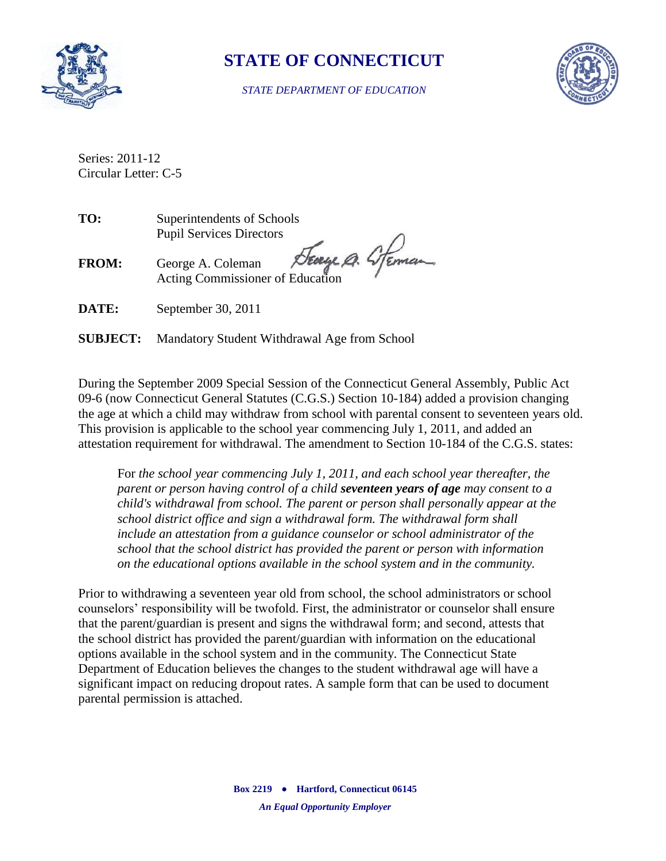

## **STATE OF CONNECTICUT**

*STATE DEPARTMENT OF EDUCATION*



Series: 2011-12 Circular Letter: C-5

**TO:** Superintendents of Schools Pupil Services Directors

Seage A. Steman **FROM:** George A. Coleman Acting Commissioner of Education

**DATE:** September 30, 2011

**SUBJECT:** Mandatory Student Withdrawal Age from School

During the September 2009 Special Session of the Connecticut General Assembly, Public Act 09-6 (now Connecticut General Statutes (C.G.S.) Section 10-184) added a provision changing the age at which a child may withdraw from school with parental consent to seventeen years old. This provision is applicable to the school year commencing July 1, 2011, and added an attestation requirement for withdrawal. The amendment to Section 10-184 of the C.G.S. states:

For *the school year commencing July 1, 2011, and each school year thereafter, the parent or person having control of a child seventeen years of age may consent to a child's withdrawal from school. The parent or person shall personally appear at the school district office and sign a withdrawal form. The withdrawal form shall include an attestation from a guidance counselor or school administrator of the school that the school district has provided the parent or person with information on the educational options available in the school system and in the community.*

Prior to withdrawing a seventeen year old from school, the school administrators or school counselors' responsibility will be twofold. First, the administrator or counselor shall ensure that the parent/guardian is present and signs the withdrawal form; and second, attests that the school district has provided the parent/guardian with information on the educational options available in the school system and in the community. The Connecticut State Department of Education believes the changes to the student withdrawal age will have a significant impact on reducing dropout rates. A sample form that can be used to document parental permission is attached.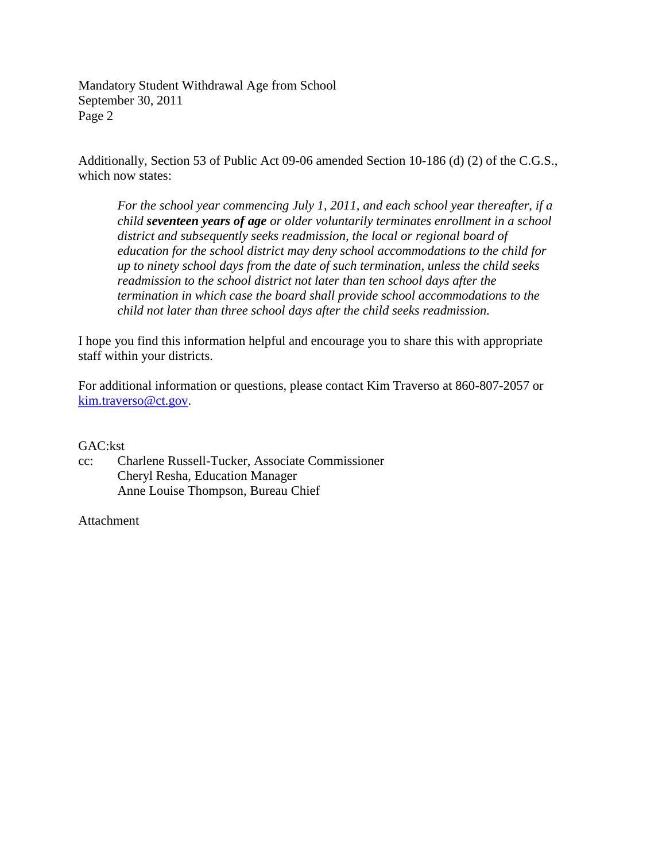Mandatory Student Withdrawal Age from School September 30, 2011 Page 2

Additionally, Section 53 of Public Act 09-06 amended Section 10-186 (d) (2) of the C.G.S., which now states:

*For the school year commencing July 1, 2011, and each school year thereafter, if a child seventeen years of age or older voluntarily terminates enrollment in a school district and subsequently seeks readmission, the local or regional board of education for the school district may deny school accommodations to the child for up to ninety school days from the date of such termination, unless the child seeks readmission to the school district not later than ten school days after the termination in which case the board shall provide school accommodations to the child not later than three school days after the child seeks readmission.*

I hope you find this information helpful and encourage you to share this with appropriate staff within your districts.

For additional information or questions, please contact Kim Traverso at 860-807-2057 or [kim.traverso@ct.gov.](mailto:kim.traverso@ct.gov)

## GAC:kst

cc: Charlene Russell-Tucker, Associate Commissioner Cheryl Resha, Education Manager Anne Louise Thompson, Bureau Chief

## Attachment